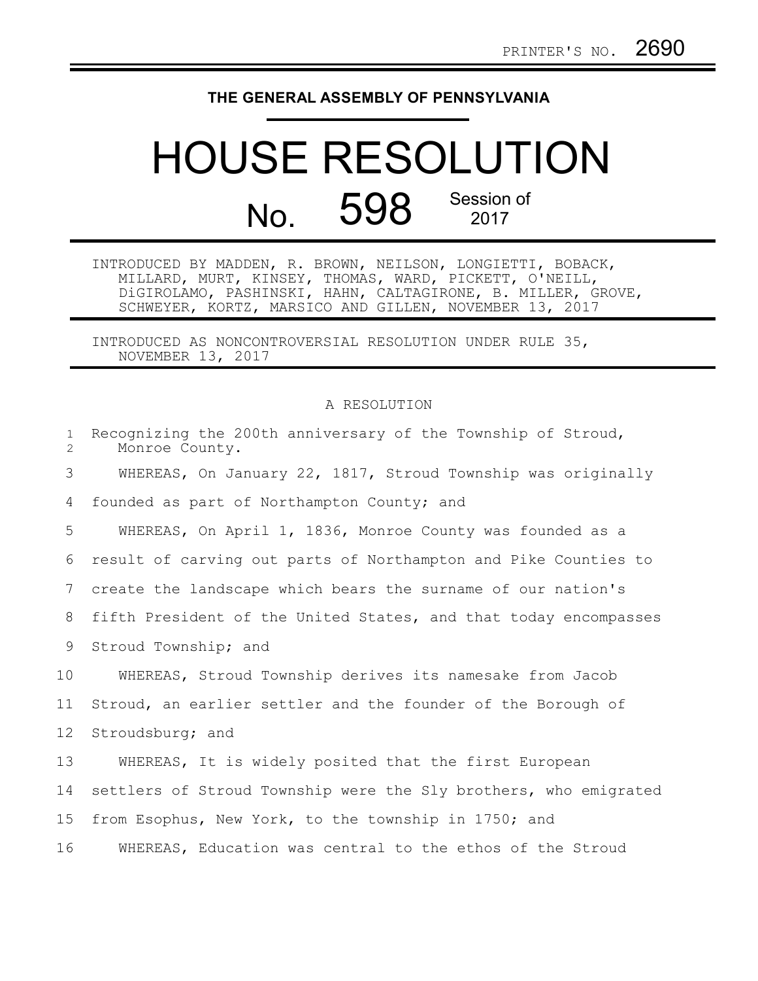## **THE GENERAL ASSEMBLY OF PENNSYLVANIA**

## HOUSE RESOLUTION No. 598 Session of 2017

INTRODUCED BY MADDEN, R. BROWN, NEILSON, LONGIETTI, BOBACK, MILLARD, MURT, KINSEY, THOMAS, WARD, PICKETT, O'NEILL, DiGIROLAMO, PASHINSKI, HAHN, CALTAGIRONE, B. MILLER, GROVE, SCHWEYER, KORTZ, MARSICO AND GILLEN, NOVEMBER 13, 2017

INTRODUCED AS NONCONTROVERSIAL RESOLUTION UNDER RULE 35, NOVEMBER 13, 2017

## A RESOLUTION

| $\mathbf{1}$<br>$\mathbf{2}^{\prime}$ | Recognizing the 200th anniversary of the Township of Stroud,<br>Monroe County. |
|---------------------------------------|--------------------------------------------------------------------------------|
| 3                                     | WHEREAS, On January 22, 1817, Stroud Township was originally                   |
| 4                                     | founded as part of Northampton County; and                                     |
| 5                                     | WHEREAS, On April 1, 1836, Monroe County was founded as a                      |
| 6                                     | result of carving out parts of Northampton and Pike Counties to                |
| 7                                     | create the landscape which bears the surname of our nation's                   |
| 8                                     | fifth President of the United States, and that today encompasses               |
| 9                                     | Stroud Township; and                                                           |
| 10                                    | WHEREAS, Stroud Township derives its namesake from Jacob                       |
| 11                                    | Stroud, an earlier settler and the founder of the Borough of                   |
| 12 <sup>°</sup>                       | Stroudsburg; and                                                               |
| 13                                    | WHEREAS, It is widely posited that the first European                          |
| 14                                    | settlers of Stroud Township were the Sly brothers, who emigrated               |
| 15 <sub>1</sub>                       | from Esophus, New York, to the township in 1750; and                           |
| 16                                    | WHEREAS, Education was central to the ethos of the Stroud                      |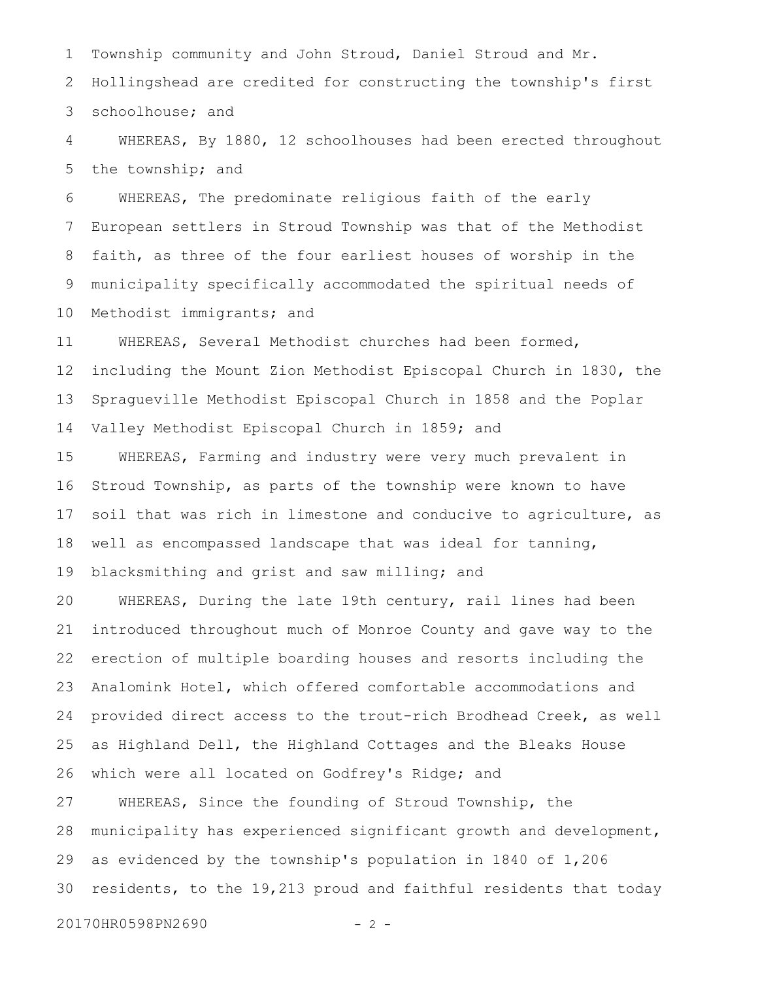Township community and John Stroud, Daniel Stroud and Mr. Hollingshead are credited for constructing the township's first schoolhouse; and 1 2 3

WHEREAS, By 1880, 12 schoolhouses had been erected throughout the township; and 4 5

WHEREAS, The predominate religious faith of the early European settlers in Stroud Township was that of the Methodist faith, as three of the four earliest houses of worship in the municipality specifically accommodated the spiritual needs of Methodist immigrants; and 6 7 8 9 10

WHEREAS, Several Methodist churches had been formed, including the Mount Zion Methodist Episcopal Church in 1830, the Spragueville Methodist Episcopal Church in 1858 and the Poplar Valley Methodist Episcopal Church in 1859; and 11 12 13 14

WHEREAS, Farming and industry were very much prevalent in Stroud Township, as parts of the township were known to have soil that was rich in limestone and conducive to agriculture, as well as encompassed landscape that was ideal for tanning, blacksmithing and grist and saw milling; and 15 16 17 18 19

WHEREAS, During the late 19th century, rail lines had been introduced throughout much of Monroe County and gave way to the erection of multiple boarding houses and resorts including the Analomink Hotel, which offered comfortable accommodations and provided direct access to the trout-rich Brodhead Creek, as well as Highland Dell, the Highland Cottages and the Bleaks House which were all located on Godfrey's Ridge; and 20 21 22 23 24 25 26

WHEREAS, Since the founding of Stroud Township, the municipality has experienced significant growth and development, as evidenced by the township's population in 1840 of 1,206 residents, to the 19,213 proud and faithful residents that today 27 28 29 30

20170HR0598PN2690 - 2 -